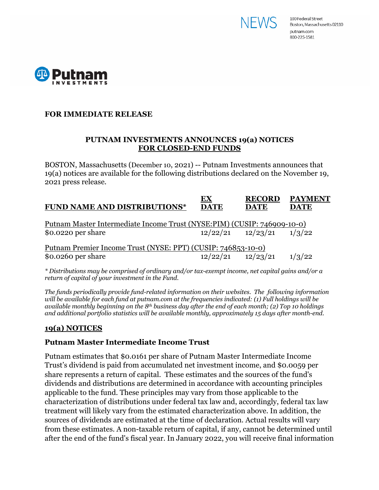



## **FOR IMMEDIATE RELEASE**

## **PUTNAM INVESTMENTS ANNOUNCES 19(a) NOTICES FOR CLOSED-END FUNDS**

BOSTON, Massachusetts (December 10, 2021) -- Putnam Investments announces that 19(a) notices are available for the following distributions declared on the November 19, 2021 press release.

|  | Putnam Master Intermediate Income Trust (NYSE:PIM) (CUSIP: 746909-10-0)<br>$12/22/21$ $12/23/21$ $1/3/22$<br>Putnam Premier Income Trust (NYSE: PPT) (CUSIP: 746853-10-0)<br>$12/22/21$ $12/23/21$ |
|--|----------------------------------------------------------------------------------------------------------------------------------------------------------------------------------------------------|

*\* Distributions may be comprised of ordinary and/or tax-exempt income, net capital gains and/or a return of capital of your investment in the Fund.*

*The funds periodically provide fund-related information on their websites. The following information will be available for each fund at putnam.com at the frequencies indicated: (1) Full holdings will be available monthly beginning on the 8th business day after the end of each month; (2) Top 10 holdings and additional portfolio statistics will be available monthly, approximately 15 days after month-end.*

# **19(a) NOTICES**

# **Putnam Master Intermediate Income Trust**

Putnam estimates that \$0.0161 per share of Putnam Master Intermediate Income Trust's dividend is paid from accumulated net investment income, and \$0.0059 per share represents a return of capital. These estimates and the sources of the fund's dividends and distributions are determined in accordance with accounting principles applicable to the fund. These principles may vary from those applicable to the characterization of distributions under federal tax law and, accordingly, federal tax law treatment will likely vary from the estimated characterization above. In addition, the sources of dividends are estimated at the time of declaration. Actual results will vary from these estimates. A non-taxable return of capital, if any, cannot be determined until after the end of the fund's fiscal year. In January 2022, you will receive final information